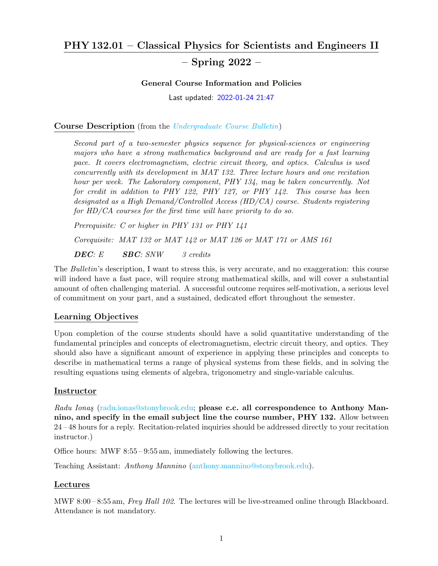# PHY 132.01 – Classical Physics for Scientists and Engineers II

# – Spring 2022 –

#### General Course Information and Policies

Last updated: 2022-01-24 21:47

### Course Description (from the [Undergraduate Course Bulletin](https://www.stonybrook.edu/sb/bulletin/current/courses/phy/))

Second part of a two-semester physics sequence for physical-sciences or engineering majors who have a strong mathematics background and are ready for a fast learning pace. It covers electromagnetism, electric circuit theory, and optics. Calculus is used concurrently with its development in MAT 132. Three lecture hours and one recitation hour per week. The Laboratory component, PHY 134, may be taken concurrently. Not for credit in addition to PHY 122, PHY 127, or PHY 142. This course has been designated as a High Demand/Controlled Access (HD/CA) course. Students registering for HD/CA courses for the first time will have priority to do so.

Prerequisite: C or higher in PHY 131 or PHY 141 Corequisite: MAT 132 or MAT 142 or MAT 126 or MAT 171 or AMS 161 **DEC:** E **SBC:** SNW 3 credits

The Bulletin's description, I want to stress this, is very accurate, and no exaggeration: this course will indeed have a fast pace, will require strong mathematical skills, and will cover a substantial amount of often challenging material. A successful outcome requires self-motivation, a serious level of commitment on your part, and a sustained, dedicated effort throughout the semester.

### Learning Objectives

Upon completion of the course students should have a solid quantitative understanding of the fundamental principles and concepts of electromagnetism, electric circuit theory, and optics. They should also have a significant amount of experience in applying these principles and concepts to describe in mathematical terms a range of physical systems from these fields, and in solving the resulting equations using elements of algebra, trigonometry and single-variable calculus.

### Instructor

Radu Ionas [\(radu.ionas@stonybrook.edu;](mailto:radu.ionas@stonybrook.edu) please c.c. all correspondence to Anthony Mannino, and specify in the email subject line the course number, PHY 132. Allow between 24 – 48 hours for a reply. Recitation-related inquiries should be addressed directly to your recitation instructor.)

Office hours: MWF 8:55 – 9:55 am, immediately following the lectures.

Teaching Assistant: Anthony Mannino [\(anthony.mannino@stonybrook.edu\)](mailto:anthony.mannino@stonybrook.edu).

#### Lectures

MWF 8:00-8:55 am, *Frey Hall 102*. The lectures will be live-streamed online through Blackboard. Attendance is not mandatory.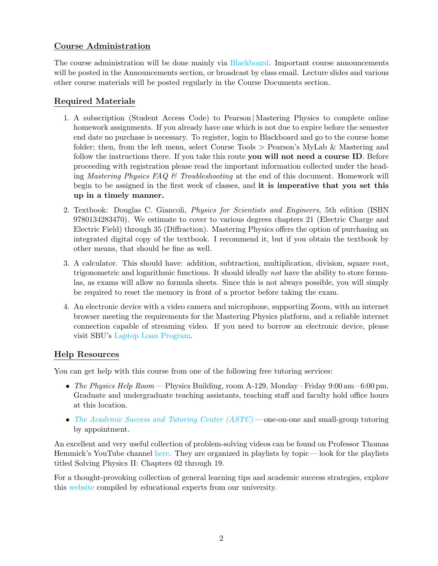# Course Administration

The course administration will be done mainly via [Blackboard.](https://blackboard.stonybrook.edu/webapps/login/) Important course announcements will be posted in the Announcements section, or broadcast by class email. Lecture slides and various other course materials will be posted regularly in the Course Documents section.

# Required Materials

- 1. A subscription (Student Access Code) to Pearson | Mastering Physics to complete online homework assignments. If you already have one which is not due to expire before the semester end date no purchase is necessary. To register, login to Blackboard and go to the course home folder; then, from the left menu, select Course Tools > Pearson's MyLab & Mastering and follow the instructions there. If you take this route you will not need a course ID. Before proceeding with registration please read the important information collected under the heading Mastering Physics FAQ  $\mathcal{O}$  Troubleshooting at the end of this document. Homework will begin to be assigned in the first week of classes, and it is imperative that you set this up in a timely manner.
- 2. Textbook: Douglas C. Giancoli, Physics for Scientists and Engineers, 5th edition (ISBN 9780134283470). We estimate to cover to various degrees chapters 21 (Electric Charge and Electric Field) through 35 (Diffraction). Mastering Physics offers the option of purchasing an integrated digital copy of the textbook. I recommend it, but if you obtain the textbook by other means, that should be fine as well.
- 3. A calculator. This should have: addition, subtraction, multiplication, division, square root, trigonometric and logarithmic functions. It should ideally not have the ability to store formulas, as exams will allow no formula sheets. Since this is not always possible, you will simply be required to reset the memory in front of a proctor before taking the exam.
- 4. An electronic device with a video camera and microphone, supporting Zoom, with an internet browser meeting the requirements for the Mastering Physics platform, and a reliable internet connection capable of streaming video. If you need to borrow an electronic device, please visit SBU's [Laptop Loan Program.](https://library.stonybrook.edu/services/access-services/laptop-loan-program/)

# Help Resources

You can get help with this course from one of the following free tutoring services:

- The Physics Help Room Physics Building, room A-129, Monday Friday  $9:00 \text{ am} 6:00 \text{ pm}$ . Graduate and undergraduate teaching assistants, teaching staff and faculty hold office hours at this location.
- [The Academic Success and Tutoring Center \(ASTC\)](https://www.stonybrook.edu/commcms/academic_success/)—one-on-one and small-group tutoring by appointment.

An excellent and very useful collection of problem-solving videos can be found on Professor Thomas Hemmick's YouTube channel [here.](https://www.youtube.com/user/jetssuperbowl2010/playlists) They are organized in playlists by topic — look for the playlists titled Solving Physics II: Chapters 02 through 19.

For a thought-provoking collection of general learning tips and academic success strategies, explore this [website](https://www.stonybrook.edu/commcms/finishin4/selfguidedlearning.php) compiled by educational experts from our university.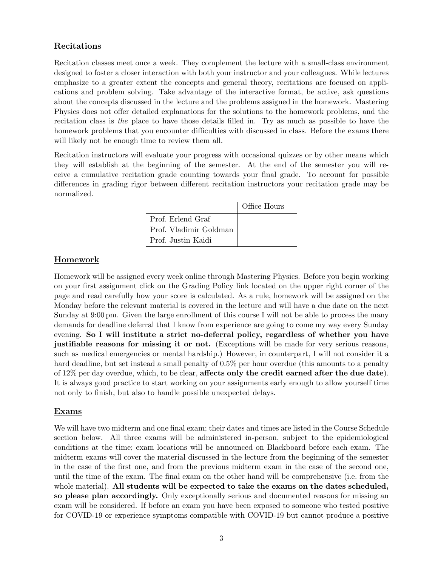### Recitations

Recitation classes meet once a week. They complement the lecture with a small-class environment designed to foster a closer interaction with both your instructor and your colleagues. While lectures emphasize to a greater extent the concepts and general theory, recitations are focused on applications and problem solving. Take advantage of the interactive format, be active, ask questions about the concepts discussed in the lecture and the problems assigned in the homework. Mastering Physics does not offer detailed explanations for the solutions to the homework problems, and the recitation class is the place to have those details filled in. Try as much as possible to have the homework problems that you encounter difficulties with discussed in class. Before the exams there will likely not be enough time to review them all.

Recitation instructors will evaluate your progress with occasional quizzes or by other means which they will establish at the beginning of the semester. At the end of the semester you will receive a cumulative recitation grade counting towards your final grade. To account for possible differences in grading rigor between different recitation instructors your recitation grade may be normalized.

|                        | Office Hours |
|------------------------|--------------|
| Prof. Erlend Graf      |              |
| Prof. Vladimir Goldman |              |
| Prof. Justin Kaidi     |              |

### Homework

Homework will be assigned every week online through Mastering Physics. Before you begin working on your first assignment click on the Grading Policy link located on the upper right corner of the page and read carefully how your score is calculated. As a rule, homework will be assigned on the Monday before the relevant material is covered in the lecture and will have a due date on the next Sunday at 9:00 pm. Given the large enrollment of this course I will not be able to process the many demands for deadline deferral that I know from experience are going to come my way every Sunday evening. So I will institute a strict no-deferral policy, regardless of whether you have justifiable reasons for missing it or not. (Exceptions will be made for very serious reasons, such as medical emergencies or mental hardship.) However, in counterpart, I will not consider it a hard deadline, but set instead a small penalty of  $0.5\%$  per hour overdue (this amounts to a penalty of 12% per day overdue, which, to be clear, affects only the credit earned after the due date). It is always good practice to start working on your assignments early enough to allow yourself time not only to finish, but also to handle possible unexpected delays.

### Exams

We will have two midterm and one final exam; their dates and times are listed in the Course Schedule section below. All three exams will be administered in-person, subject to the epidemiological conditions at the time; exam locations will be announced on Blackboard before each exam. The midterm exams will cover the material discussed in the lecture from the beginning of the semester in the case of the first one, and from the previous midterm exam in the case of the second one, until the time of the exam. The final exam on the other hand will be comprehensive (i.e. from the whole material). All students will be expected to take the exams on the dates scheduled, so please plan accordingly. Only exceptionally serious and documented reasons for missing an exam will be considered. If before an exam you have been exposed to someone who tested positive for COVID-19 or experience symptoms compatible with COVID-19 but cannot produce a positive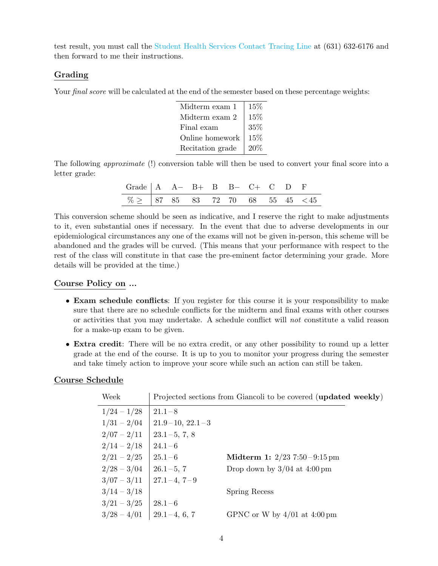test result, you must call the [Student Health Services Contact Tracing Line](https://www.stonybrook.edu/commcms/studentaffairs/shs/COVID-19/contact-tracer-line.php) at (631) 632-6176 and then forward to me their instructions.

### Grading

Your *final score* will be calculated at the end of the semester based on these percentage weights:

| Midterm exam 1   | 15%    |
|------------------|--------|
| Midterm exam 2   | 15%    |
| Final exam       | 35%    |
| Online homework  | $15\%$ |
| Recitation grade | 20%    |

The following approximate (!) conversion table will then be used to convert your final score into a letter grade:

| Grade $\begin{vmatrix} A & A & B+ & B & B- & C+ & C & D & F \end{vmatrix}$                           |  |  |  |  |  |
|------------------------------------------------------------------------------------------------------|--|--|--|--|--|
| $\boxed{\% \geq \begin{array}{ l } \hline 87 & 85 & 83 & 72 & 70 & 68 & 55 & 45 & < 45 \end{array}}$ |  |  |  |  |  |

This conversion scheme should be seen as indicative, and I reserve the right to make adjustments to it, even substantial ones if necessary. In the event that due to adverse developments in our epidemiological circumstances any one of the exams will not be given in-person, this scheme will be abandoned and the grades will be curved. (This means that your performance with respect to the rest of the class will constitute in that case the pre-eminent factor determining your grade. More details will be provided at the time.)

### Course Policy on ...

- Exam schedule conflicts: If you register for this course it is your responsibility to make sure that there are no schedule conflicts for the midterm and final exams with other courses or activities that you may undertake. A schedule conflict will not constitute a valid reason for a make-up exam to be given.
- Extra credit: There will be no extra credit, or any other possibility to round up a letter grade at the end of the course. It is up to you to monitor your progress during the semester and take timely action to improve your score while such an action can still be taken.

# Course Schedule

| Week          |                       | Projected sections from Giancoli to be covered (updated weekly) |
|---------------|-----------------------|-----------------------------------------------------------------|
| $1/24 - 1/28$ | $21.1 - 8$            |                                                                 |
| $1/31 - 2/04$ | $21.9 - 10, 22.1 - 3$ |                                                                 |
| $2/07 - 2/11$ | $23.1 - 5, 7, 8$      |                                                                 |
| $2/14 - 2/18$ | $24.1 - 6$            |                                                                 |
| $2/21 - 2/25$ | $25.1 - 6$            | <b>Midterm 1:</b> $2/23$ 7:50 – 9:15 pm                         |
| $2/28 - 3/04$ | $26.1 - 5, 7$         | Drop down by $3/04$ at $4:00 \text{ pm}$                        |
| $3/07 - 3/11$ | $27.1 - 4, 7 - 9$     |                                                                 |
| $3/14 - 3/18$ |                       | Spring Recess                                                   |
| $3/21 - 3/25$ | $28.1 - 6$            |                                                                 |
| $3/28 - 4/01$ | $29.1 - 4, 6, 7$      | GPNC or W by $4/01$ at $4:00 \text{ pm}$                        |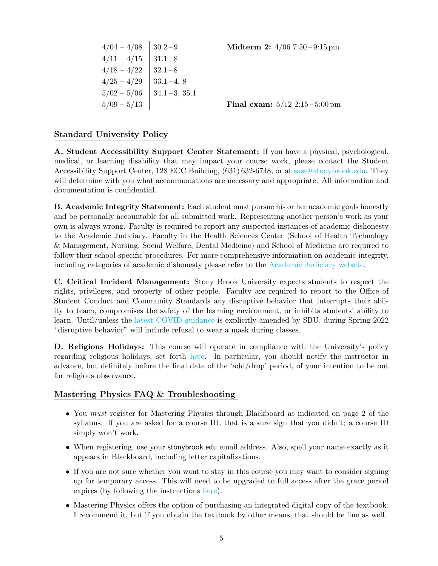| $4/04 - 4/08$   | $30.2 - 9$       |
|-----------------|------------------|
| $4/11 - 4/15$   | $31.1 - 8$       |
| $4/18 - 4/22$   | $32.1 - 8$       |
| $4/25 - 4/29$   | $33.1 - 4, 8$    |
| $5/02 - 5/06$   | $34.1 - 3, 35.1$ |
| 5/09<br>$-5/13$ |                  |

**Midterm 2:**  $4/06$  7:50 – 9:15 pm

**Final exam:**  $5/12$   $2:15 - 5:00 \text{ pm}$ 

#### Standard University Policy

A. Student Accessibility Support Center Statement: If you have a physical, psychological, medical, or learning disability that may impact your course work, please contact the Student Accessibility Support Center, 128 ECC Building, (631) 632-6748, or at [sasc@stonybrook.edu.](mailto:sasc@stonybrook.edu) They will determine with you what accommodations are necessary and appropriate. All information and documentation is confidential.

B. Academic Integrity Statement: Each student must pursue his or her academic goals honestly and be personally accountable for all submitted work. Representing another person's work as your own is always wrong. Faculty is required to report any suspected instances of academic dishonesty to the Academic Judiciary. Faculty in the Health Sciences Center (School of Health Technology & Management, Nursing, Social Welfare, Dental Medicine) and School of Medicine are required to follow their school-specific procedures. For more comprehensive information on academic integrity, including categories of academic dishonesty please refer to the [Academic Judiciary website.](http://www.stonybrook.edu/commcms/academic_integrity/index.html)

C. Critical Incident Management: Stony Brook University expects students to respect the rights, privileges, and property of other people. Faculty are required to report to the Office of Student Conduct and Community Standards any disruptive behavior that interrupts their ability to teach, compromises the safety of the learning environment, or inhibits students' ability to learn. Until/unless the [latest COVID guidance](https://www.stonybrook.edu/commcms/strongertogether/latest.php) is explicitly amended by SBU, during Spring 2022 "disruptive behavior" will include refusal to wear a mask during classes.

D. Religious Holidays: This course will operate in compliance with the University's policy regarding religious holidays, set forth [here.](https://www.stonybrook.edu/commcms/provost/faculty/handbook/academic_policies/religious_holidays_policy) In particular, you should notify the instructor in advance, but definitely before the final date of the 'add/drop' period, of your intention to be out for religious observance.

#### Mastering Physics FAQ & Troubleshooting

- You *must* register for Mastering Physics through Blackboard as indicated on page 2 of the syllabus. If you are asked for a course ID, that is a sure sign that you didn't; a course ID simply won't work.
- When registering, use your stonybrook.edu email address. Also, spell your name exactly as it appears in Blackboard, including letter capitalizations.
- If you are not sure whether you want to stay in this course you may want to consider signing up for temporary access. This will need to be upgraded to full access after the grace period expires (by following the instructions [here\)](https://support.pearson.com/getsupport/s/article/MyLab-Mastering-for-Learning-Management-Systems-Change-from-Temporary-to-Full-MyLab-Access).
- Mastering Physics offers the option of purchasing an integrated digital copy of the textbook. I recommend it, but if you obtain the textbook by other means, that should be fine as well.